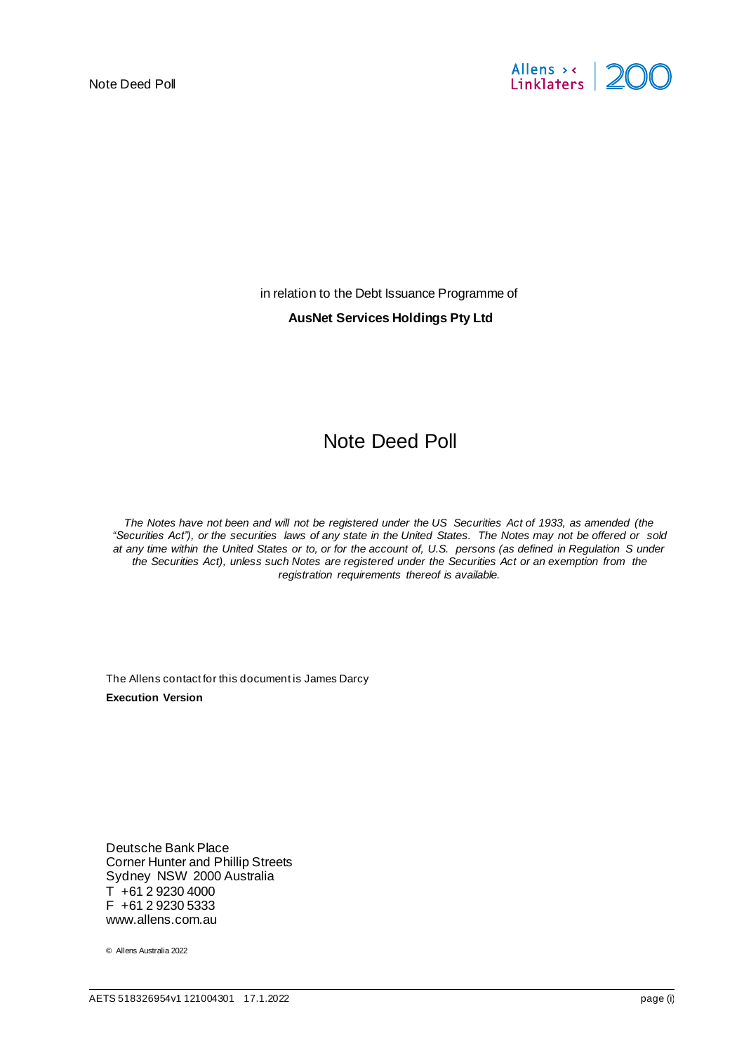

in relation to the Debt Issuance Programme of

#### **AusNet Services Holdings Pty Ltd**

# Note Deed Poll

*The Notes have not been and will not be registered under the US Securities Act of 1933, as amended (the "Securities Act"), or the securities laws of any state in the United States. The Notes may not be offered or sold at any time within the United States or to, or for the account of, U.S. persons (as defined in Regulation S under the Securities Act), unless such Notes are registered under the Securities Act or an exemption from the registration requirements thereof is available.*

The Allens contact for this document is James Darcy **Execution Version**

Deutsche Bank Place Corner Hunter and Phillip Streets Sydney NSW 2000 Australia  $T + 61 2 9230 4000$ F +61 2 9230 5333 www.allens.com.au

© Allens Australia 2022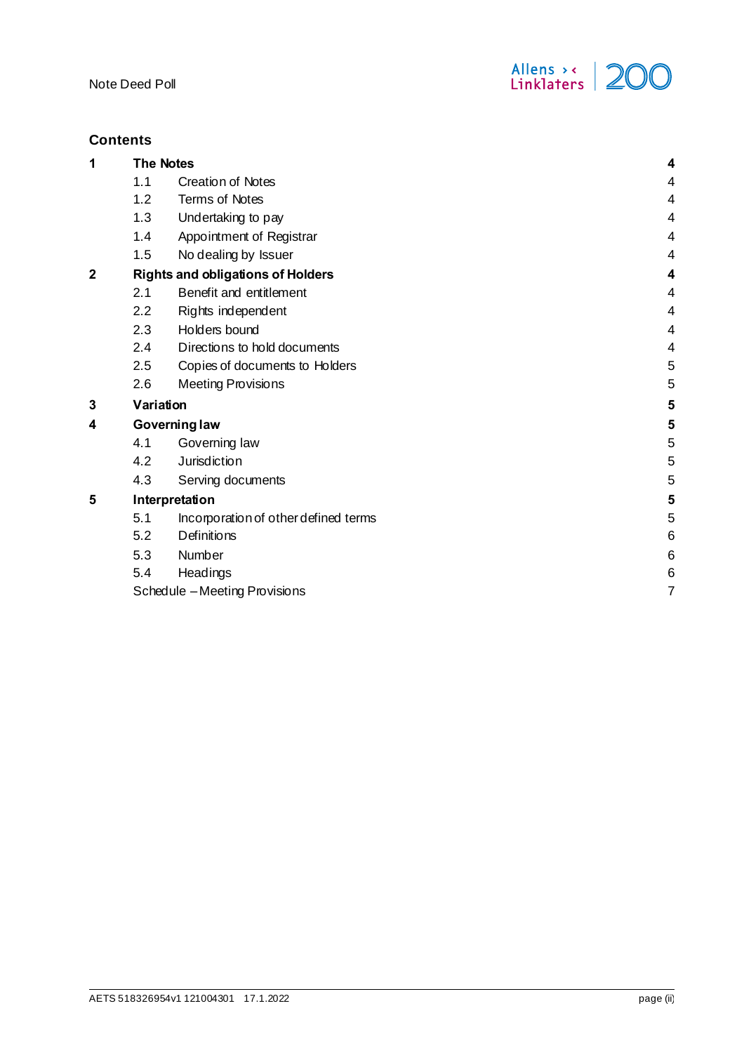

# **Contents**

| 1                       | <b>The Notes</b>                         |                                      |   |
|-------------------------|------------------------------------------|--------------------------------------|---|
|                         | 1.1                                      | <b>Creation of Notes</b>             | 4 |
|                         | 1.2                                      | <b>Terms of Notes</b>                | 4 |
|                         | 1.3                                      | Undertaking to pay                   | 4 |
|                         | 1.4                                      | Appointment of Registrar             | 4 |
|                         | 1.5                                      | No dealing by Issuer                 | 4 |
| $\overline{\mathbf{c}}$ | <b>Rights and obligations of Holders</b> | 4                                    |   |
|                         | 2.1                                      | Benefit and entitlement              | 4 |
|                         | 2.2                                      | Rights independent                   | 4 |
|                         | 2.3                                      | Holders bound                        | 4 |
|                         | 2.4                                      | Directions to hold documents         | 4 |
|                         | 2.5                                      | Copies of documents to Holders       | 5 |
|                         | 2.6                                      | <b>Meeting Provisions</b>            | 5 |
| 3                       |                                          | Variation                            |   |
| 4                       | Governing law                            |                                      | 5 |
|                         | 4.1                                      | Governing law                        | 5 |
|                         | 4.2                                      | Jurisdiction                         | 5 |
|                         | 4.3                                      | Serving documents                    | 5 |
| 5                       | Interpretation                           |                                      | 5 |
|                         | 5.1                                      | Incorporation of other defined terms | 5 |
|                         | 5.2                                      | Definitions                          | 6 |
|                         | 5.3                                      | Number                               | 6 |
|                         | 5.4                                      | Headings                             | 6 |
|                         | Schedule - Meeting Provisions            |                                      | 7 |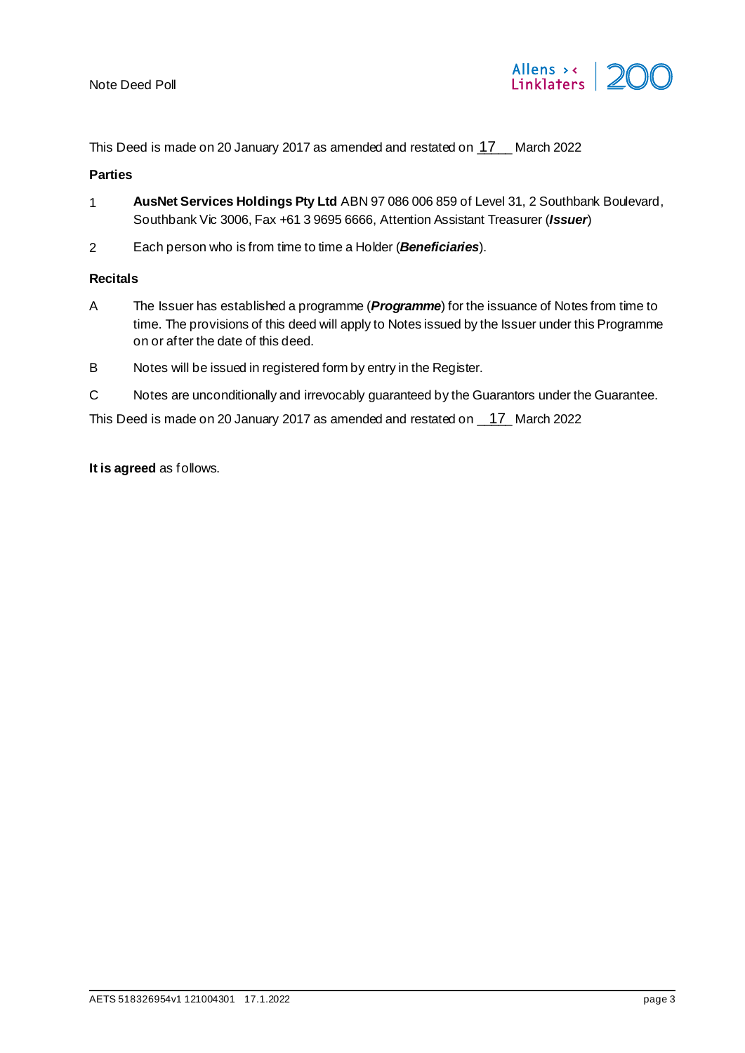

This Deed is made on 20 January 2017 as amended and restated on  $17$  March 2022

# **Parties**

- 1 **AusNet Services Holdings Pty Ltd** ABN 97 086 006 859 of Level 31, 2 Southbank Boulevard, Southbank Vic 3006, Fax +61 3 9695 6666, Attention Assistant Treasurer (*Issuer*)
- 2 Each person who is from time to time a Holder (*Beneficiaries*).

#### **Recitals**

- A The Issuer has established a programme (*Programme*) for the issuance of Notes from time to time. The provisions of this deed will apply to Notes issued by the Issuer under this Programme on or after the date of this deed.
- B Notes will be issued in registered form by entry in the Register.
- C Notes are unconditionally and irrevocably guaranteed by the Guarantors under the Guarantee.

This Deed is made on 20 January 2017 as amended and restated on  $\frac{17}{12}$  March 2022

**It is agreed** as follows.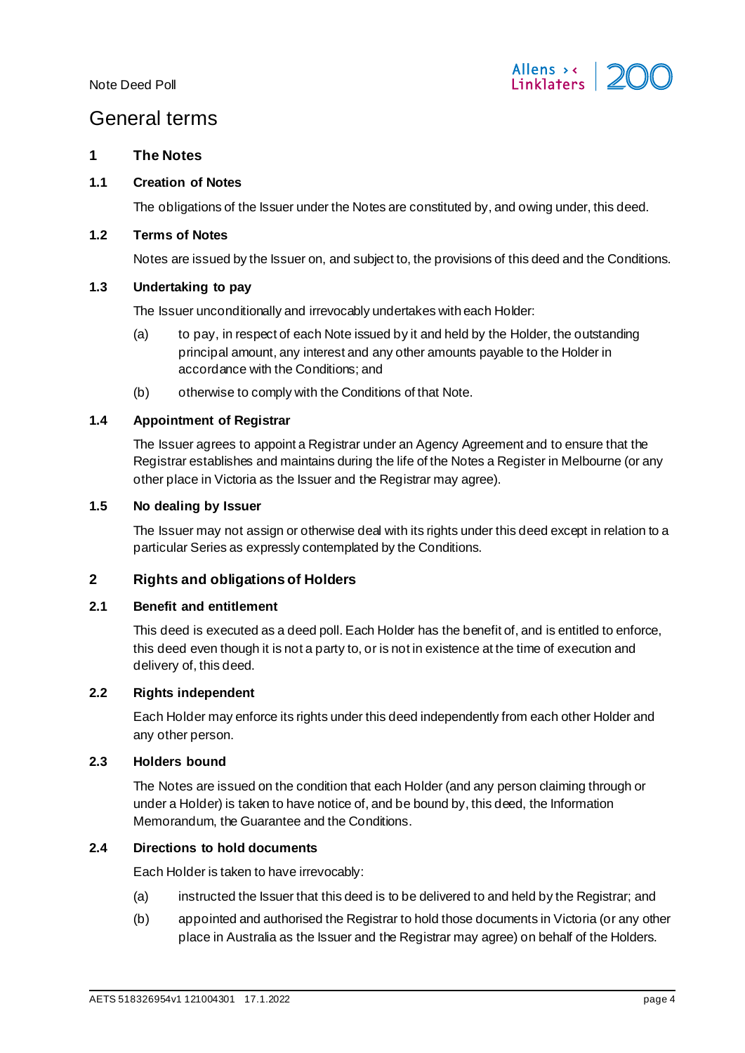

# General terms

## <span id="page-3-0"></span>**1 The Notes**

#### <span id="page-3-1"></span>**1.1 Creation of Notes**

The obligations of the Issuer under the Notes are constituted by, and owing under, this deed.

#### <span id="page-3-2"></span>**1.2 Terms of Notes**

Notes are issued by the Issuer on, and subject to, the provisions of this deed and the Conditions.

# <span id="page-3-3"></span>**1.3 Undertaking to pay**

The Issuer unconditionally and irrevocably undertakes with each Holder:

- (a) to pay, in respect of each Note issued by it and held by the Holder, the outstanding principal amount, any interest and any other amounts payable to the Holder in accordance with the Conditions; and
- (b) otherwise to comply with the Conditions of that Note.

# <span id="page-3-4"></span>**1.4 Appointment of Registrar**

The Issuer agrees to appoint a Registrar under an Agency Agreement and to ensure that the Registrar establishes and maintains during the life of the Notes a Register in Melbourne (or any other place in Victoria as the Issuer and the Registrar may agree).

#### <span id="page-3-5"></span>**1.5 No dealing by Issuer**

The Issuer may not assign or otherwise deal with its rights under this deed except in relation to a particular Series as expressly contemplated by the Conditions.

# <span id="page-3-6"></span>**2 Rights and obligations of Holders**

#### <span id="page-3-7"></span>**2.1 Benefit and entitlement**

This deed is executed as a deed poll. Each Holder has the benefit of, and is entitled to enforce, this deed even though it is not a party to, or is not in existence at the time of execution and delivery of, this deed.

#### <span id="page-3-8"></span>**2.2 Rights independent**

Each Holder may enforce its rights under this deed independently from each other Holder and any other person.

## <span id="page-3-9"></span>**2.3 Holders bound**

The Notes are issued on the condition that each Holder (and any person claiming through or under a Holder) is taken to have notice of, and be bound by, this deed, the Information Memorandum, the Guarantee and the Conditions.

## <span id="page-3-10"></span>**2.4 Directions to hold documents**

Each Holder is taken to have irrevocably:

- (a) instructed the Issuer that this deed is to be delivered to and held by the Registrar; and
- (b) appointed and authorised the Registrar to hold those documents in Victoria (or any other place in Australia as the Issuer and the Registrar may agree) on behalf of the Holders.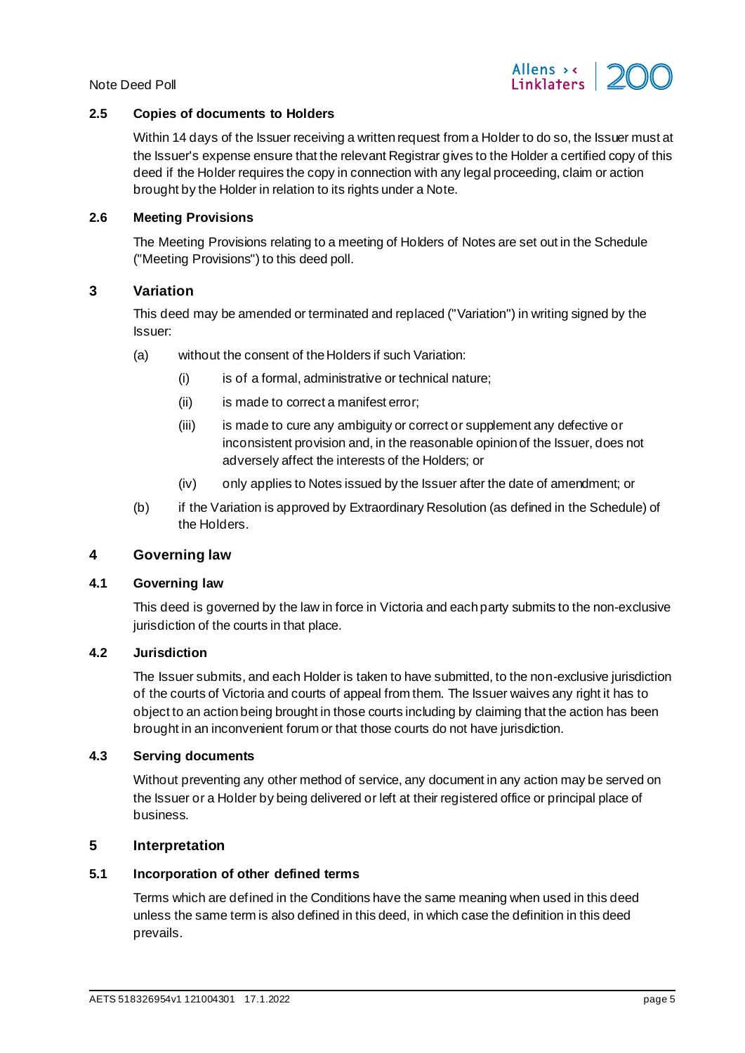



# <span id="page-4-0"></span>**2.5 Copies of documents to Holders**

Within 14 days of the Issuer receiving a written request from a Holder to do so, the Issuer must at the Issuer's expense ensure that the relevant Registrar gives to the Holder a certified copy of this deed if the Holder requires the copy in connection with any legal proceeding, claim or action brought by the Holder in relation to its rights under a Note.

#### <span id="page-4-1"></span>**2.6 Meeting Provisions**

The Meeting Provisions relating to a meeting of Holders of Notes are set out in the Schedule ("Meeting Provisions") to this deed poll.

# <span id="page-4-2"></span>**3 Variation**

This deed may be amended or terminated and replaced ("Variation") in writing signed by the Issuer:

- (a) without the consent of the Holders if such Variation:
	- (i) is of a formal, administrative or technical nature;
	- (ii) is made to correct a manifest error;
	- (iii) is made to cure any ambiguity or correct or supplement any defective or inconsistent provision and, in the reasonable opinion of the Issuer, does not adversely affect the interests of the Holders; or
	- (iv) only applies to Notes issued by the Issuer after the date of amendment; or
- (b) if the Variation is approved by Extraordinary Resolution (as defined in the Schedule) of the Holders.

# <span id="page-4-3"></span>**4 Governing law**

#### <span id="page-4-9"></span><span id="page-4-4"></span>**4.1 Governing law**

This deed is governed by the law in force in Victoria and each party submits to the non-exclusive jurisdiction of the courts in that place.

## <span id="page-4-5"></span>**4.2 Jurisdiction**

The Issuer submits, and each Holder is taken to have submitted, to the non-exclusive jurisdiction of the courts of Victoria and courts of appeal from them. The Issuer waives any right it has to object to an action being brought in those courts including by claiming that the action has been brought in an inconvenient forum or that those courts do not have jurisdiction.

## <span id="page-4-6"></span>**4.3 Serving documents**

Without preventing any other method of service, any document in any action may be served on the Issuer or a Holder by being delivered or left at their registered office or principal place of business.

# <span id="page-4-7"></span>**5 Interpretation**

## <span id="page-4-8"></span>**5.1 Incorporation of other defined terms**

Terms which are defined in the Conditions have the same meaning when used in this deed unless the same term is also defined in this deed, in which case the definition in this deed prevails.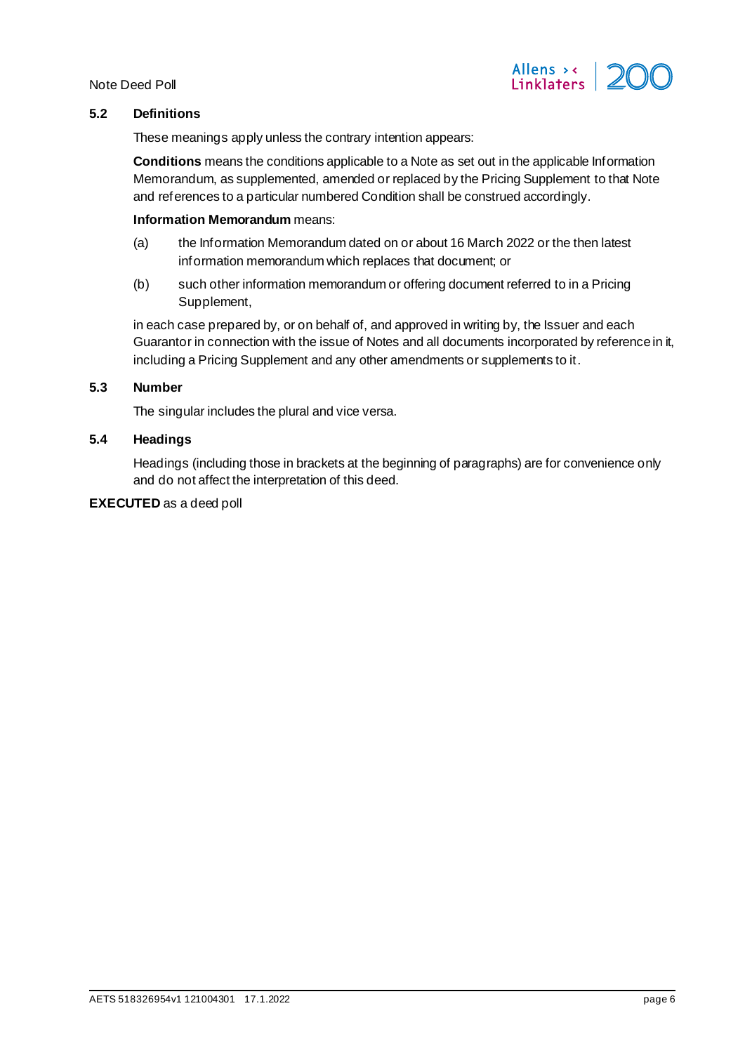

# <span id="page-5-0"></span>**5.2 Definitions**

These meanings apply unless the contrary intention appears:

**Conditions** means the conditions applicable to a Note as set out in the applicable Information Memorandum, as supplemented, amended or replaced by the Pricing Supplement to that Note and references to a particular numbered Condition shall be construed accordingly.

#### **Information Memorandum** means:

- (a) the Information Memorandum dated on or about 16 March 2022 or the then latest information memorandum which replaces that document; or
- (b) such other information memorandum or offering document referred to in a Pricing Supplement,

in each case prepared by, or on behalf of, and approved in writing by, the Issuer and each Guarantor in connection with the issue of Notes and all documents incorporated by reference in it, including a Pricing Supplement and any other amendments or supplements to it.

## <span id="page-5-1"></span>**5.3 Number**

The singular includes the plural and vice versa.

## <span id="page-5-2"></span>**5.4 Headings**

Headings (including those in brackets at the beginning of paragraphs) are for convenience only and do not affect the interpretation of this deed.

## **EXECUTED** as a deed poll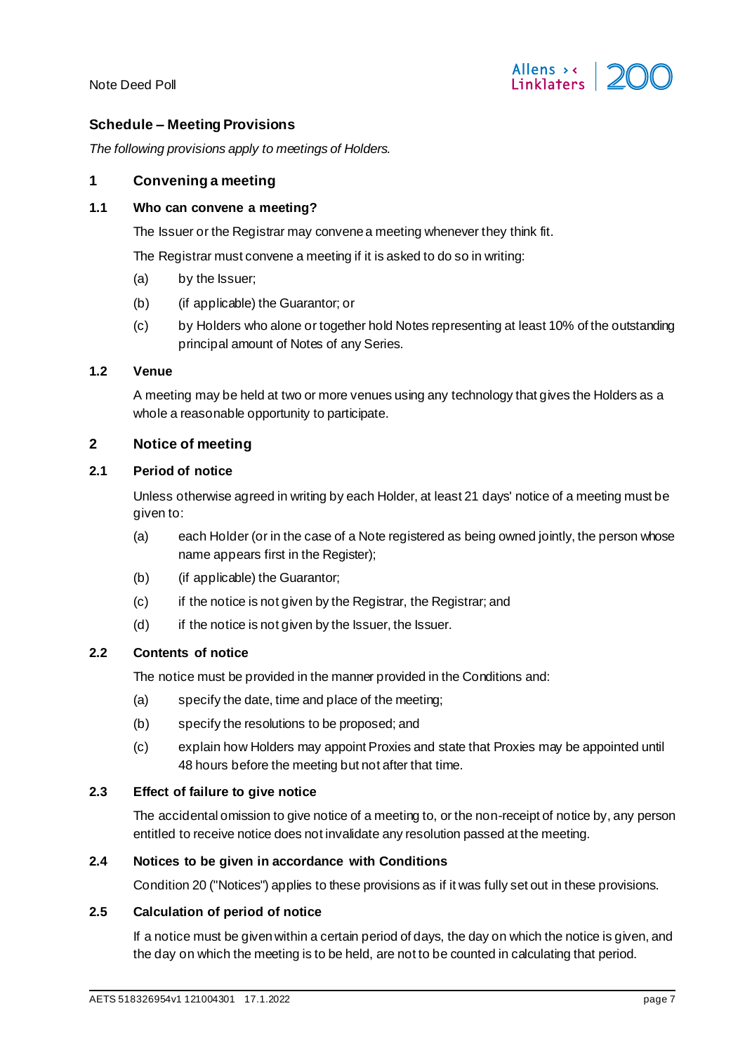

# <span id="page-6-0"></span>**Schedule – Meeting Provisions**

*The following provisions apply to meetings of Holders.*

#### **1 Convening a meeting**

#### **1.1 Who can convene a meeting?**

The Issuer or the Registrar may convene a meeting whenever they think fit.

The Registrar must convene a meeting if it is asked to do so in writing:

- (a) by the Issuer;
- (b) (if applicable) the Guarantor; or
- (c) by Holders who alone or together hold Notes representing at least 10% of the outstanding principal amount of Notes of any Series.

# **1.2 Venue**

A meeting may be held at two or more venues using any technology that gives the Holders as a whole a reasonable opportunity to participate.

# **2 Notice of meeting**

## **2.1 Period of notice**

Unless otherwise agreed in writing by each Holder, at least 21 days' notice of a meeting must be given to:

- (a) each Holder (or in the case of a Note registered as being owned jointly, the person whose name appears first in the Register);
- (b) (if applicable) the Guarantor;
- (c) if the notice is not given by the Registrar, the Registrar; and
- (d) if the notice is not given by the Issuer, the Issuer.

## **2.2 Contents of notice**

The notice must be provided in the manner provided in the Conditions and:

- (a) specify the date, time and place of the meeting;
- (b) specify the resolutions to be proposed; and
- (c) explain how Holders may appoint Proxies and state that Proxies may be appointed until 48 hours before the meeting but not after that time.

#### **2.3 Effect of failure to give notice**

The accidental omission to give notice of a meeting to, or the non-receipt of notice by, any person entitled to receive notice does not invalidate any resolution passed at the meeting.

#### **2.4 Notices to be given in accordance with Conditions**

Condition 20 ("Notices") applies to these provisions as if it was fully set out in these provisions.

## **2.5 Calculation of period of notice**

If a notice must be given within a certain period of days, the day on which the notice is given, and the day on which the meeting is to be held, are not to be counted in calculating that period.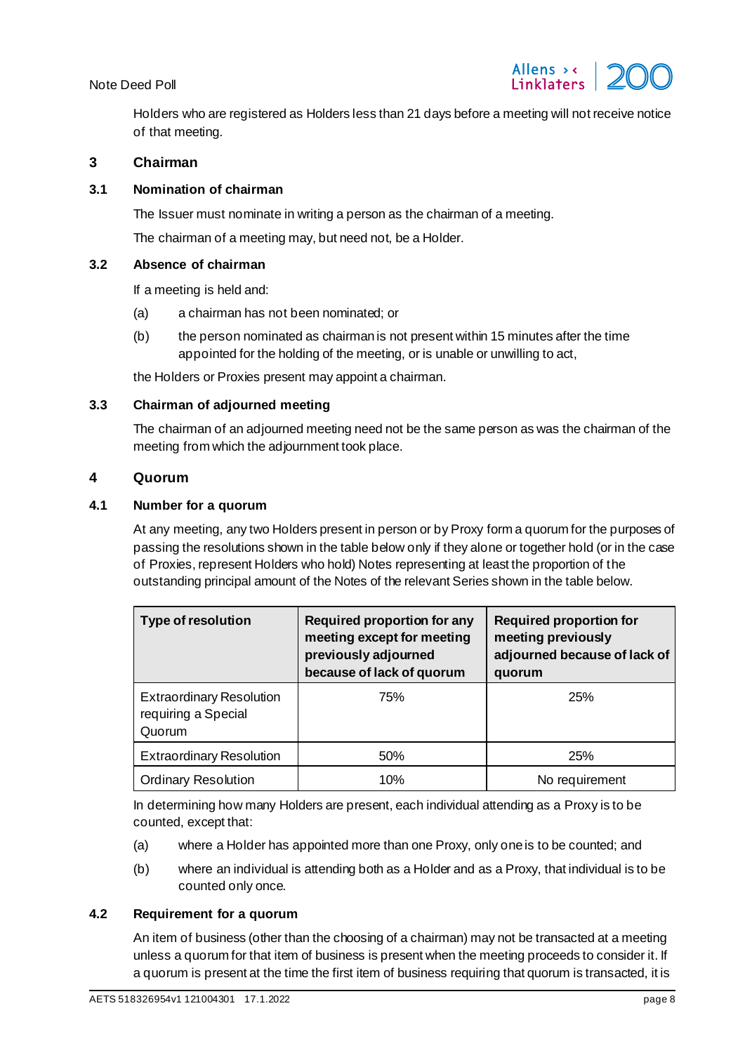

Holders who are registered as Holders less than 21 days before a meeting will not receive notice of that meeting.

# **3 Chairman**

#### **3.1 Nomination of chairman**

The Issuer must nominate in writing a person as the chairman of a meeting.

The chairman of a meeting may, but need not, be a Holder.

#### **3.2 Absence of chairman**

If a meeting is held and:

- (a) a chairman has not been nominated; or
- (b) the person nominated as chairman is not present within 15 minutes after the time appointed for the holding of the meeting, or is unable or unwilling to act,

the Holders or Proxies present may appoint a chairman.

#### **3.3 Chairman of adjourned meeting**

The chairman of an adjourned meeting need not be the same person as was the chairman of the meeting from which the adjournment took place.

#### **4 Quorum**

## **4.1 Number for a quorum**

At any meeting, any two Holders present in person or by Proxy form a quorum for the purposes of passing the resolutions shown in the table below only if they alone or together hold (or in the case of Proxies, represent Holders who hold) Notes representing at least the proportion of the outstanding principal amount of the Notes of the relevant Series shown in the table below.

| <b>Type of resolution</b>                                        | Required proportion for any<br>meeting except for meeting<br>previously adjourned<br>because of lack of quorum | <b>Required proportion for</b><br>meeting previously<br>adjourned because of lack of<br>quorum |
|------------------------------------------------------------------|----------------------------------------------------------------------------------------------------------------|------------------------------------------------------------------------------------------------|
| <b>Extraordinary Resolution</b><br>requiring a Special<br>Quorum | 75%                                                                                                            | 25%                                                                                            |
| <b>Extraordinary Resolution</b>                                  | 50%                                                                                                            | 25%                                                                                            |
| <b>Ordinary Resolution</b>                                       | 10%                                                                                                            | No requirement                                                                                 |

In determining how many Holders are present, each individual attending as a Proxy is to be counted, except that:

- (a) where a Holder has appointed more than one Proxy, only one is to be counted; and
- (b) where an individual is attending both as a Holder and as a Proxy, that individual is to be counted only once.

#### **4.2 Requirement for a quorum**

An item of business (other than the choosing of a chairman) may not be transacted at a meeting unless a quorum for that item of business is present when the meeting proceeds to consider it. If a quorum is present at the time the first item of business requiring that quorum is transacted, it is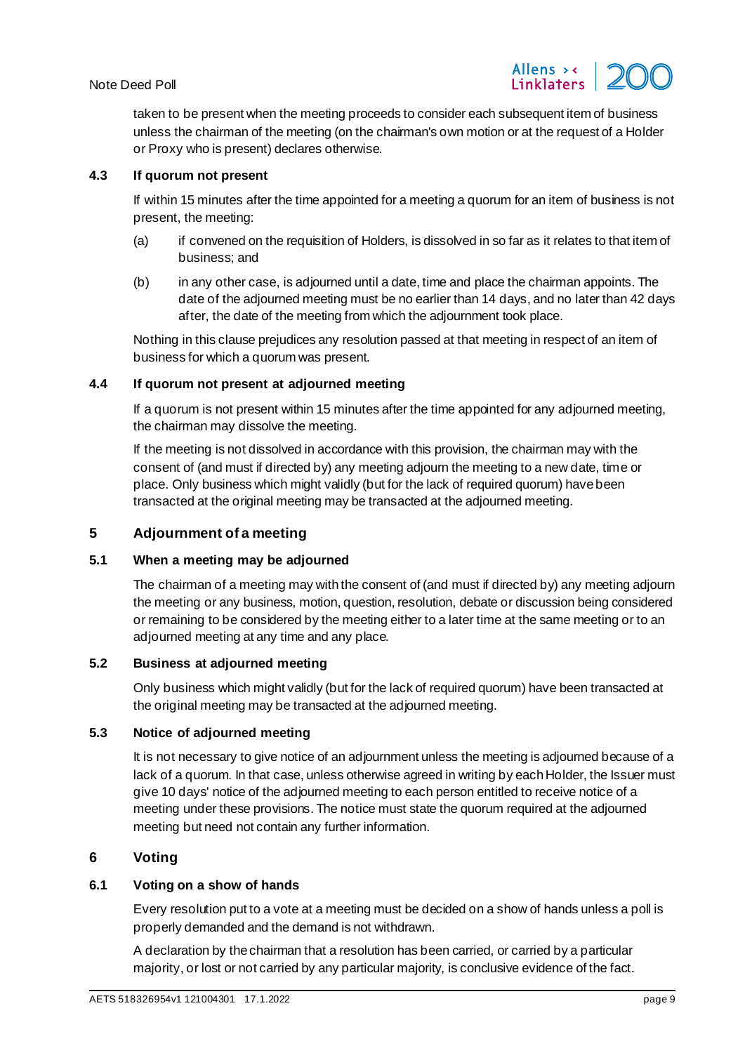

taken to be present when the meeting proceeds to consider each subsequent item of business unless the chairman of the meeting (on the chairman's own motion or at the request of a Holder or Proxy who is present) declares otherwise.

## **4.3 If quorum not present**

If within 15 minutes after the time appointed for a meeting a quorum for an item of business is not present, the meeting:

- (a) if convened on the requisition of Holders, is dissolved in so far as it relates to that item of business; and
- (b) in any other case, is adjourned until a date, time and place the chairman appoints. The date of the adjourned meeting must be no earlier than 14 days, and no later than 42 days after, the date of the meeting from which the adjournment took place.

Nothing in this clause prejudices any resolution passed at that meeting in respect of an item of business for which a quorum was present.

# **4.4 If quorum not present at adjourned meeting**

If a quorum is not present within 15 minutes after the time appointed for any adjourned meeting, the chairman may dissolve the meeting.

If the meeting is not dissolved in accordance with this provision, the chairman may with the consent of (and must if directed by) any meeting adjourn the meeting to a new date, time or place. Only business which might validly (but for the lack of required quorum) have been transacted at the original meeting may be transacted at the adjourned meeting.

# **5 Adjournment of a meeting**

## **5.1 When a meeting may be adjourned**

The chairman of a meeting may with the consent of (and must if directed by) any meeting adjourn the meeting or any business, motion, question, resolution, debate or discussion being considered or remaining to be considered by the meeting either to a later time at the same meeting or to an adjourned meeting at any time and any place.

# **5.2 Business at adjourned meeting**

Only business which might validly (but for the lack of required quorum) have been transacted at the original meeting may be transacted at the adjourned meeting.

#### **5.3 Notice of adjourned meeting**

It is not necessary to give notice of an adjournment unless the meeting is adjourned because of a lack of a quorum. In that case, unless otherwise agreed in writing by each Holder, the Issuer must give 10 days' notice of the adjourned meeting to each person entitled to receive notice of a meeting under these provisions. The notice must state the quorum required at the adjourned meeting but need not contain any further information.

# **6 Voting**

#### **6.1 Voting on a show of hands**

Every resolution put to a vote at a meeting must be decided on a show of hands unless a poll is properly demanded and the demand is not withdrawn.

A declaration by the chairman that a resolution has been carried, or carried by a particular majority, or lost or not carried by any particular majority, is conclusive evidence of the fact.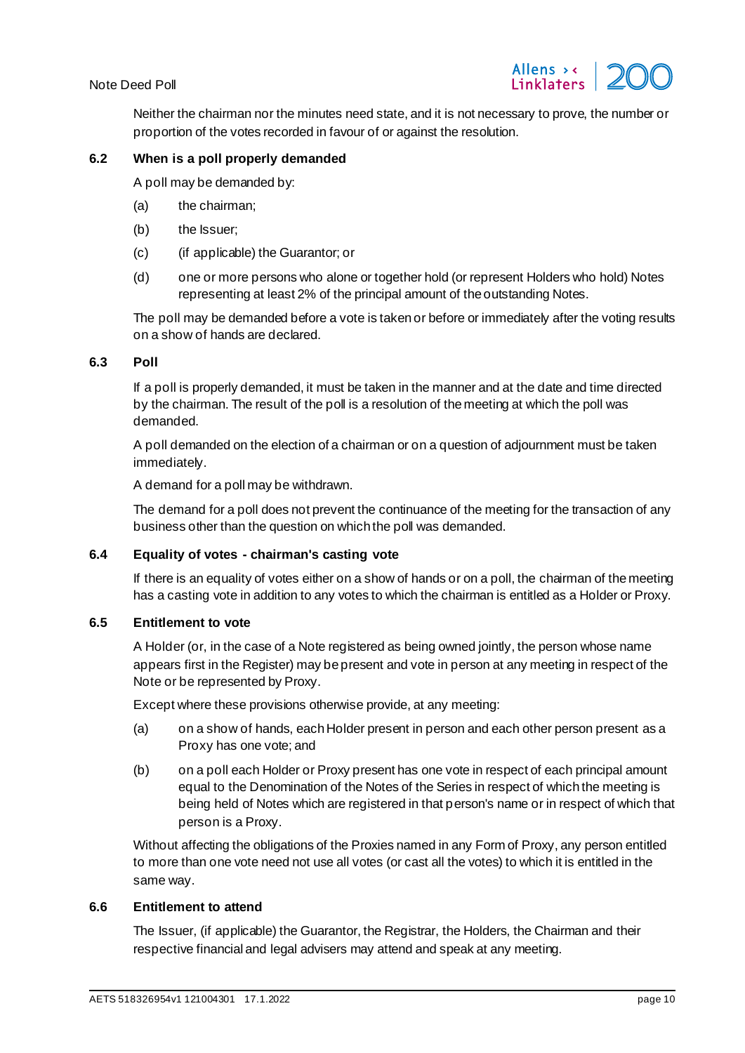

Neither the chairman nor the minutes need state, and it is not necessary to prove, the number or proportion of the votes recorded in favour of or against the resolution.

#### **6.2 When is a poll properly demanded**

A poll may be demanded by:

- (a) the chairman;
- (b) the Issuer;
- (c) (if applicable) the Guarantor; or
- (d) one or more persons who alone or together hold (or represent Holders who hold) Notes representing at least 2% of the principal amount of the outstanding Notes.

The poll may be demanded before a vote is taken or before or immediately after the voting results on a show of hands are declared.

#### **6.3 Poll**

If a poll is properly demanded, it must be taken in the manner and at the date and time directed by the chairman. The result of the poll is a resolution of the meeting at which the poll was demanded.

A poll demanded on the election of a chairman or on a question of adjournment must be taken immediately.

A demand for a poll may be withdrawn.

The demand for a poll does not prevent the continuance of the meeting for the transaction of any business other than the question on which the poll was demanded.

#### **6.4 Equality of votes - chairman's casting vote**

If there is an equality of votes either on a show of hands or on a poll, the chairman of the meeting has a casting vote in addition to any votes to which the chairman is entitled as a Holder or Proxy.

### **6.5 Entitlement to vote**

A Holder (or, in the case of a Note registered as being owned jointly, the person whose name appears first in the Register) may be present and vote in person at any meeting in respect of the Note or be represented by Proxy.

Except where these provisions otherwise provide, at any meeting:

- (a) on a show of hands, each Holder present in person and each other person present as a Proxy has one vote; and
- (b) on a poll each Holder or Proxy present has one vote in respect of each principal amount equal to the Denomination of the Notes of the Series in respect of which the meeting is being held of Notes which are registered in that person's name or in respect of which that person is a Proxy.

Without affecting the obligations of the Proxies named in any Form of Proxy, any person entitled to more than one vote need not use all votes (or cast all the votes) to which it is entitled in the same way.

#### **6.6 Entitlement to attend**

The Issuer, (if applicable) the Guarantor, the Registrar, the Holders, the Chairman and their respective financial and legal advisers may attend and speak at any meeting.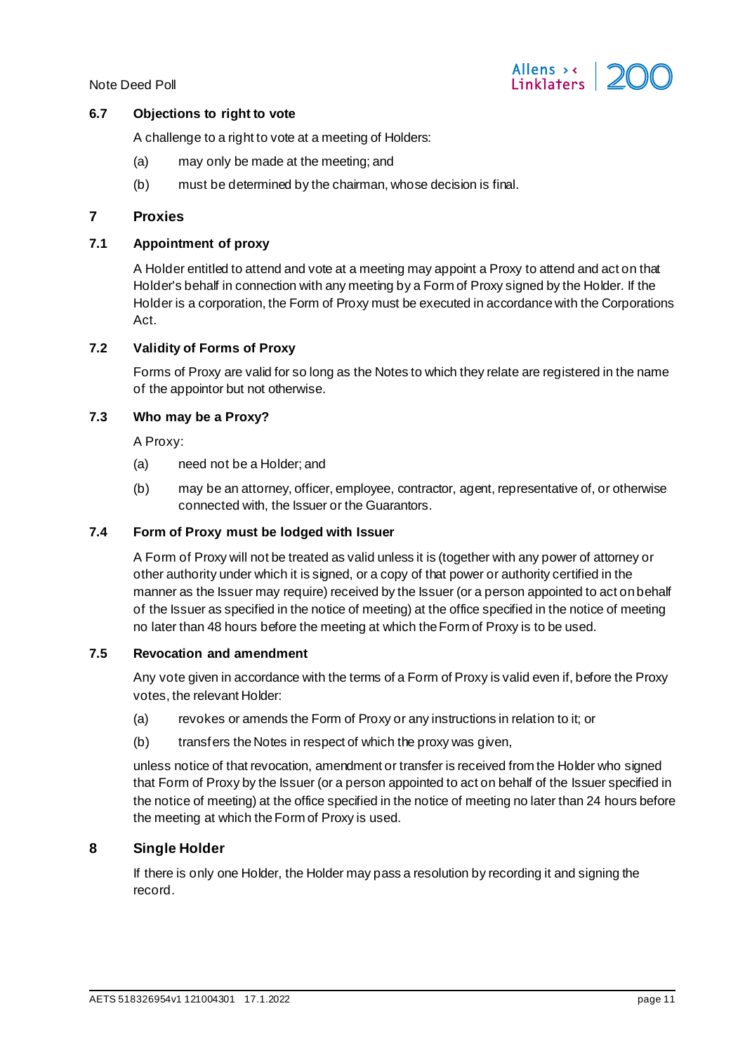

## **6.7 Objections to right to vote**

A challenge to a right to vote at a meeting of Holders:

- (a) may only be made at the meeting; and
- (b) must be determined by the chairman, whose decision is final.

## **7 Proxies**

# **7.1 Appointment of proxy**

A Holder entitled to attend and vote at a meeting may appoint a Proxy to attend and act on that Holder's behalf in connection with any meeting by a Form of Proxy signed by the Holder. If the Holder is a corporation, the Form of Proxy must be executed in accordance with the Corporations Act.

#### **7.2 Validity of Forms of Proxy**

Forms of Proxy are valid for so long as the Notes to which they relate are registered in the name of the appointor but not otherwise.

## **7.3 Who may be a Proxy?**

A Proxy:

- (a) need not be a Holder; and
- (b) may be an attorney, officer, employee, contractor, agent, representative of, or otherwise connected with, the Issuer or the Guarantors.

# **7.4 Form of Proxy must be lodged with Issuer**

A Form of Proxy will not be treated as valid unless it is (together with any power of attorney or other authority under which it is signed, or a copy of that power or authority certified in the manner as the Issuer may require) received by the Issuer (or a person appointed to act on behalf of the Issuer as specified in the notice of meeting) at the office specified in the notice of meeting no later than 48 hours before the meeting at which the Form of Proxy is to be used.

#### **7.5 Revocation and amendment**

Any vote given in accordance with the terms of a Form of Proxy is valid even if, before the Proxy votes, the relevant Holder:

- (a) revokes or amends the Form of Proxy or any instructions in relation to it; or
- (b) transfers the Notes in respect of which the proxy was given,

unless notice of that revocation, amendment or transfer is received from the Holder who signed that Form of Proxy by the Issuer (or a person appointed to act on behalf of the Issuer specified in the notice of meeting) at the office specified in the notice of meeting no later than 24 hours before the meeting at which the Form of Proxy is used.

# **8 Single Holder**

If there is only one Holder, the Holder may pass a resolution by recording it and signing the record.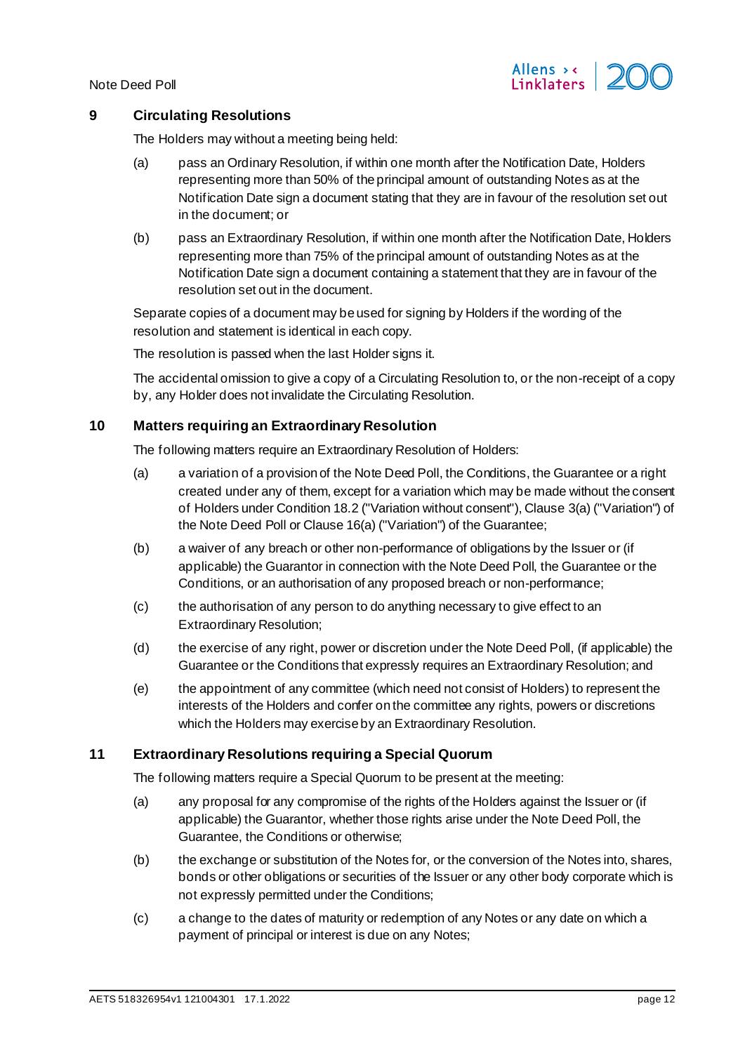

# <span id="page-11-2"></span><span id="page-11-0"></span>**9 Circulating Resolutions**

The Holders may without a meeting being held:

- (a) pass an Ordinary Resolution, if within one month after the Notification Date, Holders representing more than 50% of the principal amount of outstanding Notes as at the Notification Date sign a document stating that they are in favour of the resolution set out in the document; or
- <span id="page-11-1"></span>(b) pass an Extraordinary Resolution, if within one month after the Notification Date, Holders representing more than 75% of the principal amount of outstanding Notes as at the Notification Date sign a document containing a statement that they are in favour of the resolution set out in the document.

Separate copies of a document may be used for signing by Holders if the wording of the resolution and statement is identical in each copy.

The resolution is passed when the last Holder signs it.

The accidental omission to give a copy of a Circulating Resolution to, or the non-receipt of a copy by, any Holder does not invalidate the Circulating Resolution.

## **10 Matters requiring an Extraordinary Resolution**

The following matters require an Extraordinary Resolution of Holders:

- (a) a variation of a provision of the Note Deed Poll, the Conditions, the Guarantee or a right created under any of them, except for a variation which may be made without the consent of Holders under Condition 18.2 ("Variation without consent"), Clause 3(a) ("Variation") of the Note Deed Poll or Clause 16(a) ("Variation") of the Guarantee;
- (b) a waiver of any breach or other non-performance of obligations by the Issuer or (if applicable) the Guarantor in connection with the Note Deed Poll, the Guarantee or the Conditions, or an authorisation of any proposed breach or non-performance;
- (c) the authorisation of any person to do anything necessary to give effect to an Extraordinary Resolution;
- (d) the exercise of any right, power or discretion under the Note Deed Poll, (if applicable) the Guarantee or the Conditions that expressly requires an Extraordinary Resolution; and
- (e) the appointment of any committee (which need not consist of Holders) to represent the interests of the Holders and confer on the committee any rights, powers or discretions which the Holders may exercise by an Extraordinary Resolution.

# **11 Extraordinary Resolutions requiring a Special Quorum**

The following matters require a Special Quorum to be present at the meeting:

- (a) any proposal for any compromise of the rights of the Holders against the Issuer or (if applicable) the Guarantor, whether those rights arise under the Note Deed Poll, the Guarantee, the Conditions or otherwise;
- (b) the exchange or substitution of the Notes for, or the conversion of the Notes into, shares, bonds or other obligations or securities of the Issuer or any other body corporate which is not expressly permitted under the Conditions;
- (c) a change to the dates of maturity or redemption of any Notes or any date on which a payment of principal or interest is due on any Notes;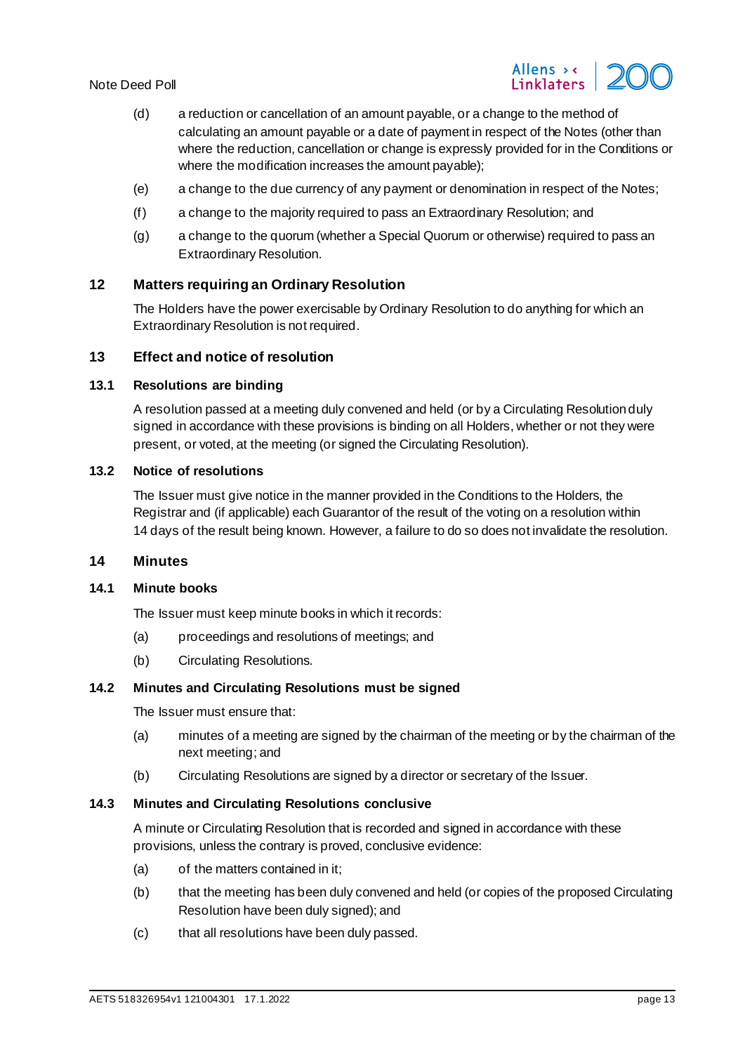

- (d) a reduction or cancellation of an amount payable, or a change to the method of calculating an amount payable or a date of payment in respect of the Notes (other than where the reduction, cancellation or change is expressly provided for in the Conditions or where the modification increases the amount payable);
- (e) a change to the due currency of any payment or denomination in respect of the Notes;
- (f) a change to the majority required to pass an Extraordinary Resolution; and
- (g) a change to the quorum (whether a Special Quorum or otherwise) required to pass an Extraordinary Resolution.

## **12 Matters requiring an Ordinary Resolution**

The Holders have the power exercisable by Ordinary Resolution to do anything for which an Extraordinary Resolution is not required.

#### **13 Effect and notice of resolution**

#### **13.1 Resolutions are binding**

A resolution passed at a meeting duly convened and held (or by a Circulating Resolution duly signed in accordance with these provisions is binding on all Holders, whether or not they were present, or voted, at the meeting (or signed the Circulating Resolution).

#### **13.2 Notice of resolutions**

The Issuer must give notice in the manner provided in the Conditions to the Holders, the Registrar and (if applicable) each Guarantor of the result of the voting on a resolution within 14 days of the result being known. However, a failure to do so does not invalidate the resolution.

## **14 Minutes**

#### **14.1 Minute books**

The Issuer must keep minute books in which it records:

- (a) proceedings and resolutions of meetings; and
- (b) Circulating Resolutions.

#### **14.2 Minutes and Circulating Resolutions must be signed**

The Issuer must ensure that:

- (a) minutes of a meeting are signed by the chairman of the meeting or by the chairman of the next meeting; and
- (b) Circulating Resolutions are signed by a director or secretary of the Issuer.

## **14.3 Minutes and Circulating Resolutions conclusive**

A minute or Circulating Resolution that is recorded and signed in accordance with these provisions, unless the contrary is proved, conclusive evidence:

- (a) of the matters contained in it;
- (b) that the meeting has been duly convened and held (or copies of the proposed Circulating Resolution have been duly signed); and
- (c) that all resolutions have been duly passed.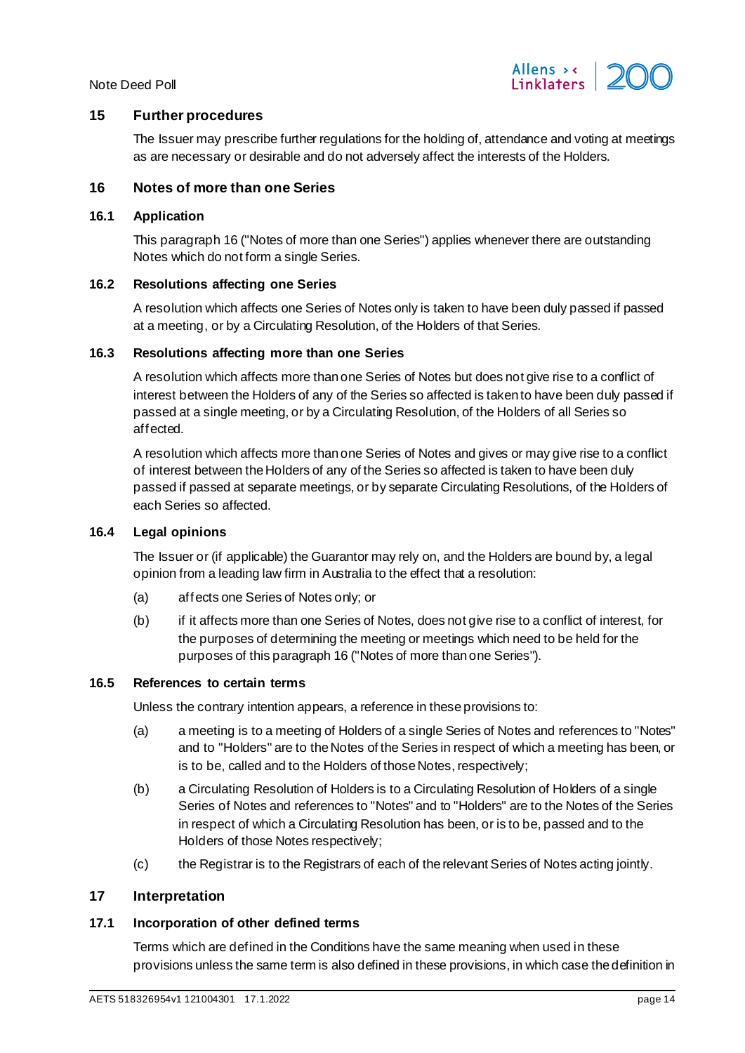

## **15 Further procedures**

The Issuer may prescribe further regulations for the holding of, attendance and voting at meetings as are necessary or desirable and do not adversely affect the interests of the Holders.

### <span id="page-13-0"></span>**16 Notes of more than one Series**

### **16.1 Application**

This paragrap[h 16](#page-13-0) ("Notes of more than one Series") applies whenever there are outstanding Notes which do not form a single Series.

#### **16.2 Resolutions affecting one Series**

A resolution which affects one Series of Notes only is taken to have been duly passed if passed at a meeting, or by a Circulating Resolution, of the Holders of that Series.

#### **16.3 Resolutions affecting more than one Series**

A resolution which affects more than one Series of Notes but does not give rise to a conflict of interest between the Holders of any of the Series so affected is taken to have been duly passed if passed at a single meeting, or by a Circulating Resolution, of the Holders of all Series so affected.

A resolution which affects more than one Series of Notes and gives or may give rise to a conflict of interest between the Holders of any of the Series so affected is taken to have been duly passed if passed at separate meetings, or by separate Circulating Resolutions, of the Holders of each Series so affected.

# **16.4 Legal opinions**

The Issuer or (if applicable) the Guarantor may rely on, and the Holders are bound by, a legal opinion from a leading law firm in Australia to the effect that a resolution:

- (a) affects one Series of Notes only; or
- (b) if it affects more than one Series of Notes, does not give rise to a conflict of interest, for the purposes of determining the meeting or meetings which need to be held for the purposes of this paragrap[h 16](#page-13-0) ("Notes of more than one Series").

#### **16.5 References to certain terms**

Unless the contrary intention appears, a reference in these provisions to:

- (a) a meeting is to a meeting of Holders of a single Series of Notes and references to "Notes" and to "Holders" are to the Notes of the Series in respect of which a meeting has been, or is to be, called and to the Holders of those Notes, respectively;
- (b) a Circulating Resolution of Holders is to a Circulating Resolution of Holders of a single Series of Notes and references to "Notes" and to "Holders" are to the Notes of the Series in respect of which a Circulating Resolution has been, or is to be, passed and to the Holders of those Notes respectively;
- (c) the Registrar is to the Registrars of each of the relevant Series of Notes acting jointly.

# **17 Interpretation**

#### **17.1 Incorporation of other defined terms**

Terms which are defined in the Conditions have the same meaning when used in these provisions unless the same term is also defined in these provisions, in which case the definition in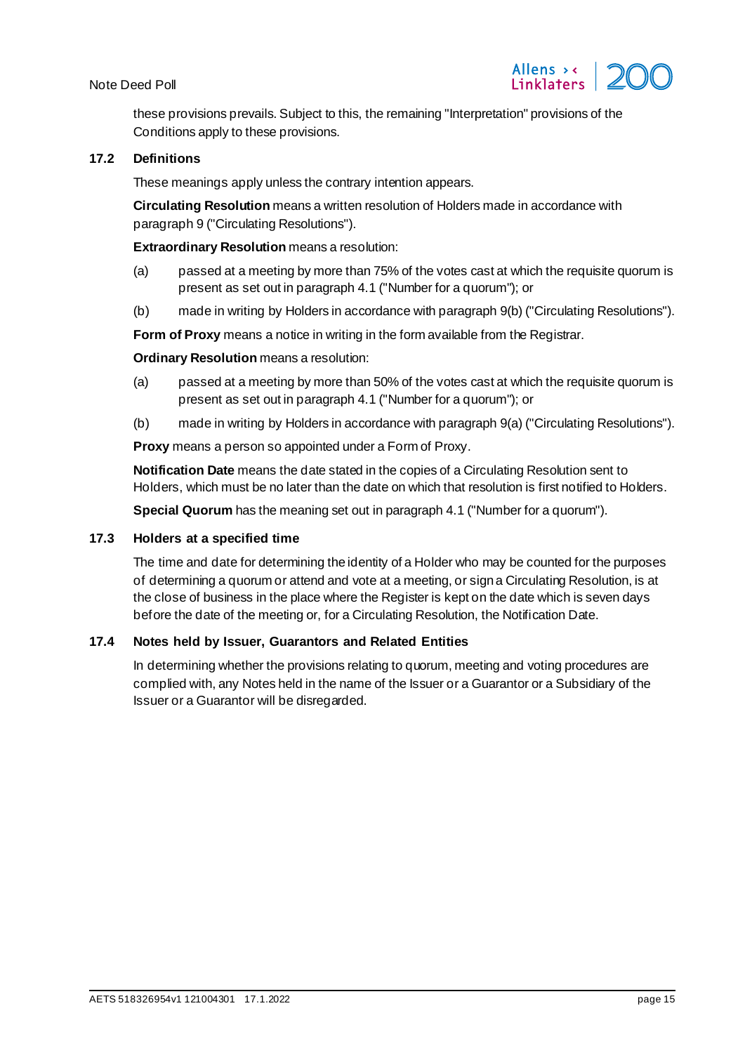

these provisions prevails. Subject to this, the remaining "Interpretation" provisions of the Conditions apply to these provisions.

#### **17.2 Definitions**

These meanings apply unless the contrary intention appears.

**Circulating Resolution** means a written resolution of Holders made in accordance with paragrap[h 9](#page-11-0) ("Circulating Resolutions").

**Extraordinary Resolution** means a resolution:

- (a) passed at a meeting by more than 75% of the votes cast at which the requisite quorum is present as set out in paragrap[h 4.1](#page-4-9) ("Number for a quorum"); or
- (b) made in writing by Holders in accordance with paragraph [9\(b\)](#page-11-1) ("Circulating Resolutions").

**Form of Proxy** means a notice in writing in the form available from the Registrar.

#### **Ordinary Resolution** means a resolution:

- (a) passed at a meeting by more than 50% of the votes cast at which the requisite quorum is present as set out in paragrap[h 4.1](#page-4-9) ("Number for a quorum"); or
- (b) made in writing by Holders in accordance with paragraph [9\(a\)](#page-11-2) ("Circulating Resolutions").

**Proxy** means a person so appointed under a Form of Proxy.

**Notification Date** means the date stated in the copies of a Circulating Resolution sent to Holders, which must be no later than the date on which that resolution is first notified to Holders.

**Special Quorum** has the meaning set out in paragrap[h 4.1](#page-4-9) ("Number for a quorum").

#### **17.3 Holders at a specified time**

The time and date for determining the identity of a Holder who may be counted for the purposes of determining a quorum or attend and vote at a meeting, or sign a Circulating Resolution, is at the close of business in the place where the Register is kept on the date which is seven days before the date of the meeting or, for a Circulating Resolution, the Notification Date.

## **17.4 Notes held by Issuer, Guarantors and Related Entities**

In determining whether the provisions relating to quorum, meeting and voting procedures are complied with, any Notes held in the name of the Issuer or a Guarantor or a Subsidiary of the Issuer or a Guarantor will be disregarded.